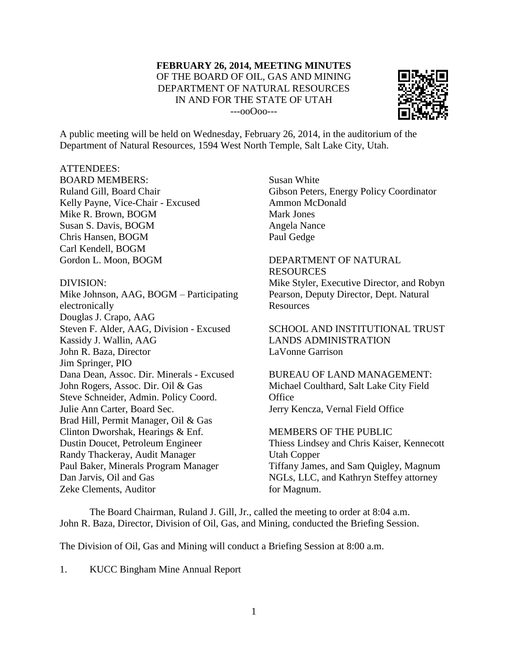#### **FEBRUARY 26, 2014, MEETING MINUTES** OF THE BOARD OF OIL, GAS AND MINING DEPARTMENT OF NATURAL RESOURCES IN AND FOR THE STATE OF UTAH ---ooOoo---



A public meeting will be held on Wednesday, February 26, 2014, in the auditorium of the Department of Natural Resources, 1594 West North Temple, Salt Lake City, Utah.

#### ATTENDEES:

BOARD MEMBERS: Ruland Gill, Board Chair Kelly Payne, Vice-Chair - Excused Mike R. Brown, BOGM Susan S. Davis, BOGM Chris Hansen, BOGM Carl Kendell, BOGM Gordon L. Moon, BOGM

#### DIVISION:

Mike Johnson, AAG, BOGM – Participating electronically Douglas J. Crapo, AAG Steven F. Alder, AAG, Division - Excused Kassidy J. Wallin, AAG John R. Baza, Director Jim Springer, PIO Dana Dean, Assoc. Dir. Minerals - Excused John Rogers, Assoc. Dir. Oil & Gas Steve Schneider, Admin. Policy Coord. Julie Ann Carter, Board Sec. Brad Hill, Permit Manager, Oil & Gas Clinton Dworshak, Hearings & Enf. Dustin Doucet, Petroleum Engineer Randy Thackeray, Audit Manager Paul Baker, Minerals Program Manager Dan Jarvis, Oil and Gas Zeke Clements, Auditor

Susan White Gibson Peters, Energy Policy Coordinator Ammon McDonald Mark Jones Angela Nance Paul Gedge

## DEPARTMENT OF NATURAL RESOURCES

Mike Styler, Executive Director, and Robyn Pearson, Deputy Director, Dept. Natural **Resources** 

SCHOOL AND INSTITUTIONAL TRUST LANDS ADMINISTRATION LaVonne Garrison

BUREAU OF LAND MANAGEMENT: Michael Coulthard, Salt Lake City Field **Office** Jerry Kencza, Vernal Field Office

MEMBERS OF THE PUBLIC Thiess Lindsey and Chris Kaiser, Kennecott Utah Copper Tiffany James, and Sam Quigley, Magnum NGLs, LLC, and Kathryn Steffey attorney for Magnum.

The Board Chairman, Ruland J. Gill, Jr., called the meeting to order at 8:04 a.m. John R. Baza, Director, Division of Oil, Gas, and Mining, conducted the Briefing Session.

The Division of Oil, Gas and Mining will conduct a Briefing Session at 8:00 a.m.

1. KUCC Bingham Mine Annual Report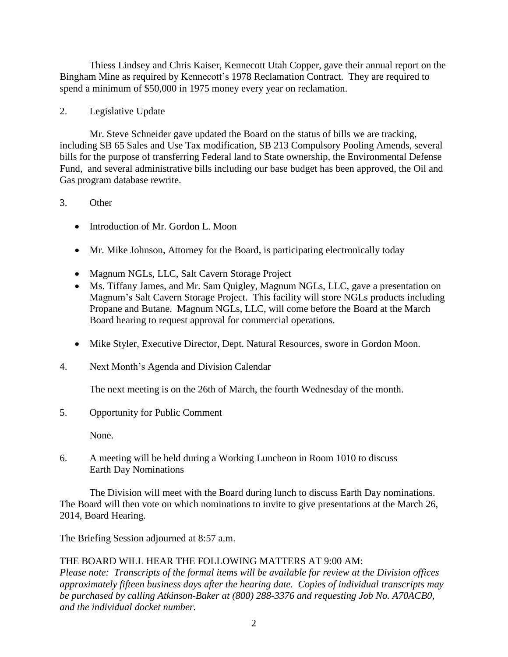Thiess Lindsey and Chris Kaiser, Kennecott Utah Copper, gave their annual report on the Bingham Mine as required by Kennecott's 1978 Reclamation Contract. They are required to spend a minimum of \$50,000 in 1975 money every year on reclamation.

## 2. Legislative Update

Mr. Steve Schneider gave updated the Board on the status of bills we are tracking, including SB 65 Sales and Use Tax modification, SB 213 Compulsory Pooling Amends, several bills for the purpose of transferring Federal land to State ownership, the Environmental Defense Fund, and several administrative bills including our base budget has been approved, the Oil and Gas program database rewrite.

## 3. Other

- Introduction of Mr. Gordon L. Moon
- Mr. Mike Johnson, Attorney for the Board, is participating electronically today
- Magnum NGLs, LLC, Salt Cavern Storage Project
- Ms. Tiffany James, and Mr. Sam Quigley, Magnum NGLs, LLC, gave a presentation on Magnum's Salt Cavern Storage Project. This facility will store NGLs products including Propane and Butane. Magnum NGLs, LLC, will come before the Board at the March Board hearing to request approval for commercial operations.
- Mike Styler, Executive Director, Dept. Natural Resources, swore in Gordon Moon.
- 4. Next Month's Agenda and Division Calendar

The next meeting is on the 26th of March, the fourth Wednesday of the month.

5. Opportunity for Public Comment

None.

6. A meeting will be held during a Working Luncheon in Room 1010 to discuss Earth Day Nominations

The Division will meet with the Board during lunch to discuss Earth Day nominations. The Board will then vote on which nominations to invite to give presentations at the March 26, 2014, Board Hearing.

The Briefing Session adjourned at 8:57 a.m.

# THE BOARD WILL HEAR THE FOLLOWING MATTERS AT 9:00 AM:

*Please note: Transcripts of the formal items will be available for review at the Division offices approximately fifteen business days after the hearing date. Copies of individual transcripts may be purchased by calling Atkinson-Baker at (800) 288-3376 and requesting Job No. A70ACB0, and the individual docket number.*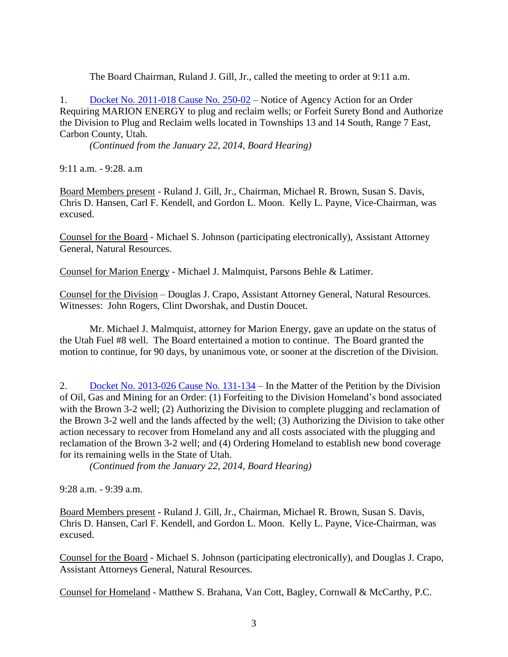The Board Chairman, Ruland J. Gill, Jr., called the meeting to order at 9:11 a.m.

1. Docket No. [2011-018](http://ogm.utah.gov/amr/boardtemp/redesign/2014/02_Feb/Dockets/2011-018_250-02_MarionEnergy.html) Cause No. 250-02 – Notice of Agency Action for an Order Requiring MARION ENERGY to plug and reclaim wells; or Forfeit Surety Bond and Authorize the Division to Plug and Reclaim wells located in Townships 13 and 14 South, Range 7 East, Carbon County, Utah.

*(Continued from the January 22, 2014, Board Hearing)*

9:11 a.m. - 9:28. a.m

Board Members present - Ruland J. Gill, Jr., Chairman, Michael R. Brown, Susan S. Davis, Chris D. Hansen, Carl F. Kendell, and Gordon L. Moon. Kelly L. Payne, Vice-Chairman, was excused.

Counsel for the Board - Michael S. Johnson (participating electronically), Assistant Attorney General, Natural Resources.

Counsel for Marion Energy - Michael J. Malmquist, Parsons Behle & Latimer.

Counsel for the Division – Douglas J. Crapo, Assistant Attorney General, Natural Resources. Witnesses: John Rogers, Clint Dworshak, and Dustin Doucet.

Mr. Michael J. Malmquist, attorney for Marion Energy, gave an update on the status of the Utah Fuel #8 well. The Board entertained a motion to continue. The Board granted the motion to continue, for 90 days, by unanimous vote, or sooner at the discretion of the Division.

2. Docket No. [2013-026](http://ogm.utah.gov/amr/boardtemp/redesign/2014/02_Feb/Dockets/2013-026_131-134_Homeland.html) Cause No. 131-134 – In the Matter of the Petition by the Division of Oil, Gas and Mining for an Order: (1) Forfeiting to the Division Homeland's bond associated with the Brown 3-2 well; (2) Authorizing the Division to complete plugging and reclamation of the Brown 3-2 well and the lands affected by the well; (3) Authorizing the Division to take other action necessary to recover from Homeland any and all costs associated with the plugging and reclamation of the Brown 3-2 well; and (4) Ordering Homeland to establish new bond coverage for its remaining wells in the State of Utah.

*(Continued from the January 22, 2014, Board Hearing)*

 $9:28$  a.m.  $-9:39$  a.m.

Board Members present - Ruland J. Gill, Jr., Chairman, Michael R. Brown, Susan S. Davis, Chris D. Hansen, Carl F. Kendell, and Gordon L. Moon. Kelly L. Payne, Vice-Chairman, was excused.

Counsel for the Board - Michael S. Johnson (participating electronically), and Douglas J. Crapo, Assistant Attorneys General, Natural Resources.

Counsel for Homeland - Matthew S. Brahana, Van Cott, Bagley, Cornwall & McCarthy, P.C.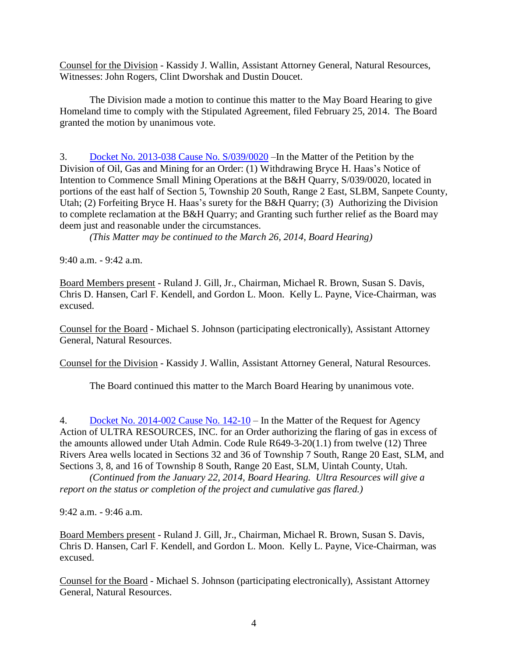Counsel for the Division - Kassidy J. Wallin, Assistant Attorney General, Natural Resources, Witnesses: John Rogers, Clint Dworshak and Dustin Doucet.

The Division made a motion to continue this matter to the May Board Hearing to give Homeland time to comply with the Stipulated Agreement, filed February 25, 2014. The Board granted the motion by unanimous vote.

3. Docket No. 2013-038 Cause No. [S/039/0020](http://ogm.utah.gov/amr/boardtemp/redesign/2014/02_Feb/Dockets/2013-038_S0390020_BryceHHaas.html) –In the Matter of the Petition by the Division of Oil, Gas and Mining for an Order: (1) Withdrawing Bryce H. Haas's Notice of Intention to Commence Small Mining Operations at the B&H Quarry, S/039/0020, located in portions of the east half of Section 5, Township 20 South, Range 2 East, SLBM, Sanpete County, Utah; (2) Forfeiting Bryce H. Haas's surety for the B&H Quarry; (3) Authorizing the Division to complete reclamation at the B&H Quarry; and Granting such further relief as the Board may deem just and reasonable under the circumstances.

*(This Matter may be continued to the March 26, 2014, Board Hearing)*

9:40 a.m. - 9:42 a.m.

Board Members present - Ruland J. Gill, Jr., Chairman, Michael R. Brown, Susan S. Davis, Chris D. Hansen, Carl F. Kendell, and Gordon L. Moon. Kelly L. Payne, Vice-Chairman, was excused.

Counsel for the Board - Michael S. Johnson (participating electronically), Assistant Attorney General, Natural Resources.

Counsel for the Division - Kassidy J. Wallin, Assistant Attorney General, Natural Resources.

The Board continued this matter to the March Board Hearing by unanimous vote.

4. Docket No. [2014-002](http://ogm.utah.gov/amr/boardtemp/redesign/2014/02_Feb/Dockets/2014-002_142-10_Ultra.html) Cause No. 142-10 – In the Matter of the Request for Agency Action of ULTRA RESOURCES, INC. for an Order authorizing the flaring of gas in excess of the amounts allowed under Utah Admin. Code Rule R649-3-20(1.1) from twelve (12) Three Rivers Area wells located in Sections 32 and 36 of Township 7 South, Range 20 East, SLM, and Sections 3, 8, and 16 of Township 8 South, Range 20 East, SLM, Uintah County, Utah.

*(Continued from the January 22, 2014, Board Hearing. Ultra Resources will give a report on the status or completion of the project and cumulative gas flared.)*

9:42 a.m. - 9:46 a.m.

Board Members present - Ruland J. Gill, Jr., Chairman, Michael R. Brown, Susan S. Davis, Chris D. Hansen, Carl F. Kendell, and Gordon L. Moon. Kelly L. Payne, Vice-Chairman, was excused.

Counsel for the Board - Michael S. Johnson (participating electronically), Assistant Attorney General, Natural Resources.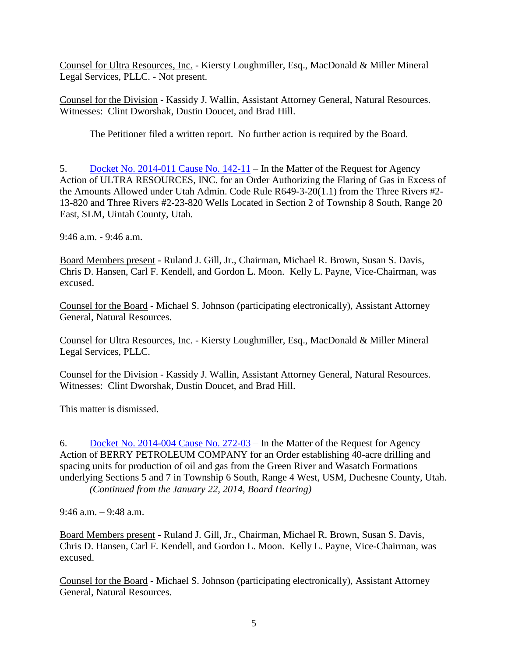Counsel for Ultra Resources, Inc. - Kiersty Loughmiller, Esq., MacDonald & Miller Mineral Legal Services, PLLC. - Not present.

Counsel for the Division - Kassidy J. Wallin, Assistant Attorney General, Natural Resources. Witnesses: Clint Dworshak, Dustin Doucet, and Brad Hill.

The Petitioner filed a written report. No further action is required by the Board.

5. Docket No. [2014-011](http://ogm.utah.gov/amr/boardtemp/redesign/2014/02_Feb/Dockets/2014-011_142-11_Ultra.html) Cause No. 142-11 – In the Matter of the Request for Agency Action of ULTRA RESOURCES, INC. for an Order Authorizing the Flaring of Gas in Excess of the Amounts Allowed under Utah Admin. Code Rule R649-3-20(1.1) from the Three Rivers #2- 13-820 and Three Rivers #2-23-820 Wells Located in Section 2 of Township 8 South, Range 20 East, SLM, Uintah County, Utah.

9:46 a.m. - 9:46 a.m.

Board Members present - Ruland J. Gill, Jr., Chairman, Michael R. Brown, Susan S. Davis, Chris D. Hansen, Carl F. Kendell, and Gordon L. Moon. Kelly L. Payne, Vice-Chairman, was excused.

Counsel for the Board - Michael S. Johnson (participating electronically), Assistant Attorney General, Natural Resources.

Counsel for Ultra Resources, Inc. - Kiersty Loughmiller, Esq., MacDonald & Miller Mineral Legal Services, PLLC.

Counsel for the Division - Kassidy J. Wallin, Assistant Attorney General, Natural Resources. Witnesses: Clint Dworshak, Dustin Doucet, and Brad Hill.

This matter is dismissed.

6. Docket No. [2014-004](http://ogm.utah.gov/amr/boardtemp/redesign/2014/02_Feb/Dockets/2014-004_272-03_Berry.html) Cause No. 272-03 – In the Matter of the Request for Agency Action of BERRY PETROLEUM COMPANY for an Order establishing 40-acre drilling and spacing units for production of oil and gas from the Green River and Wasatch Formations underlying Sections 5 and 7 in Township 6 South, Range 4 West, USM, Duchesne County, Utah. *(Continued from the January 22, 2014, Board Hearing)*

9:46 a.m. – 9:48 a.m.

Board Members present - Ruland J. Gill, Jr., Chairman, Michael R. Brown, Susan S. Davis, Chris D. Hansen, Carl F. Kendell, and Gordon L. Moon. Kelly L. Payne, Vice-Chairman, was excused.

Counsel for the Board - Michael S. Johnson (participating electronically), Assistant Attorney General, Natural Resources.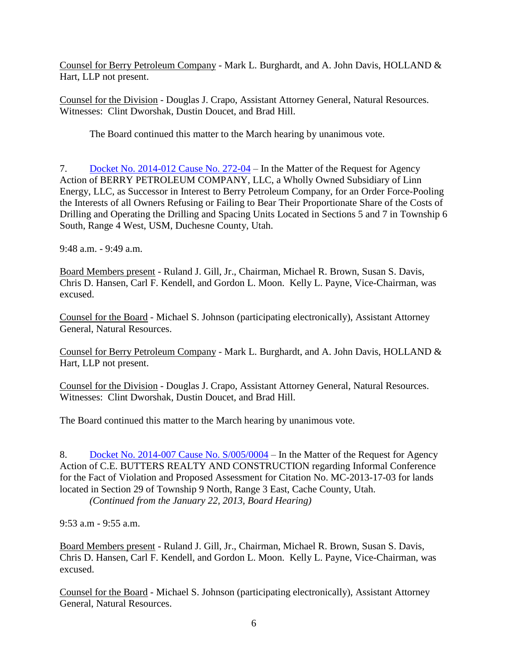Counsel for Berry Petroleum Company - Mark L. Burghardt, and A. John Davis, HOLLAND & Hart, LLP not present.

Counsel for the Division - Douglas J. Crapo, Assistant Attorney General, Natural Resources. Witnesses: Clint Dworshak, Dustin Doucet, and Brad Hill.

The Board continued this matter to the March hearing by unanimous vote.

7. Docket No. [2014-012](http://ogm.utah.gov/amr/boardtemp/redesign/2014/02_Feb/Dockets/2014-012_272-04_Berry.html) Cause No. 272-04 – In the Matter of the Request for Agency Action of BERRY PETROLEUM COMPANY, LLC, a Wholly Owned Subsidiary of Linn Energy, LLC, as Successor in Interest to Berry Petroleum Company, for an Order Force-Pooling the Interests of all Owners Refusing or Failing to Bear Their Proportionate Share of the Costs of Drilling and Operating the Drilling and Spacing Units Located in Sections 5 and 7 in Township 6 South, Range 4 West, USM, Duchesne County, Utah.

9:48 a.m. - 9:49 a.m.

Board Members present - Ruland J. Gill, Jr., Chairman, Michael R. Brown, Susan S. Davis, Chris D. Hansen, Carl F. Kendell, and Gordon L. Moon. Kelly L. Payne, Vice-Chairman, was excused.

Counsel for the Board - Michael S. Johnson (participating electronically), Assistant Attorney General, Natural Resources.

Counsel for Berry Petroleum Company - Mark L. Burghardt, and A. John Davis, HOLLAND & Hart, LLP not present.

Counsel for the Division - Douglas J. Crapo, Assistant Attorney General, Natural Resources. Witnesses: Clint Dworshak, Dustin Doucet, and Brad Hill.

The Board continued this matter to the March hearing by unanimous vote.

8. Docket No. 2014-007 Cause No. [S/005/0004](http://ogm.utah.gov/amr/boardtemp/redesign/2014/02_Feb/Dockets/2014-007_S0050004_C.E.Butters.html) – In the Matter of the Request for Agency Action of C.E. BUTTERS REALTY AND CONSTRUCTION regarding Informal Conference for the Fact of Violation and Proposed Assessment for Citation No. MC-2013-17-03 for lands located in Section 29 of Township 9 North, Range 3 East, Cache County, Utah.

*(Continued from the January 22, 2013, Board Hearing)*

9:53 a.m - 9:55 a.m.

Board Members present - Ruland J. Gill, Jr., Chairman, Michael R. Brown, Susan S. Davis, Chris D. Hansen, Carl F. Kendell, and Gordon L. Moon. Kelly L. Payne, Vice-Chairman, was excused.

Counsel for the Board - Michael S. Johnson (participating electronically), Assistant Attorney General, Natural Resources.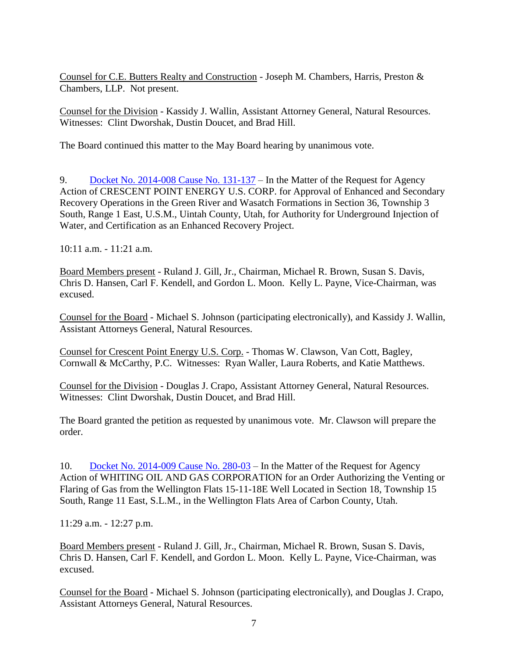Counsel for C.E. Butters Realty and Construction - Joseph M. Chambers, Harris, Preston & Chambers, LLP. Not present.

Counsel for the Division - Kassidy J. Wallin, Assistant Attorney General, Natural Resources. Witnesses: Clint Dworshak, Dustin Doucet, and Brad Hill.

The Board continued this matter to the May Board hearing by unanimous vote.

9. Docket No. [2014-008](http://ogm.utah.gov/amr/boardtemp/redesign/2014/02_Feb/Dockets/2014-008_131-137_Crescent.html) Cause No. 131-137 – In the Matter of the Request for Agency Action of CRESCENT POINT ENERGY U.S. CORP. for Approval of Enhanced and Secondary Recovery Operations in the Green River and Wasatch Formations in Section 36, Township 3 South, Range 1 East, U.S.M., Uintah County, Utah, for Authority for Underground Injection of Water, and Certification as an Enhanced Recovery Project.

10:11 a.m. - 11:21 a.m.

Board Members present - Ruland J. Gill, Jr., Chairman, Michael R. Brown, Susan S. Davis, Chris D. Hansen, Carl F. Kendell, and Gordon L. Moon. Kelly L. Payne, Vice-Chairman, was excused.

Counsel for the Board - Michael S. Johnson (participating electronically), and Kassidy J. Wallin, Assistant Attorneys General, Natural Resources.

Counsel for Crescent Point Energy U.S. Corp. - Thomas W. Clawson, Van Cott, Bagley, Cornwall & McCarthy, P.C. Witnesses: Ryan Waller, Laura Roberts, and Katie Matthews.

Counsel for the Division - Douglas J. Crapo, Assistant Attorney General, Natural Resources. Witnesses: Clint Dworshak, Dustin Doucet, and Brad Hill.

The Board granted the petition as requested by unanimous vote. Mr. Clawson will prepare the order.

10. Docket No. [2014-009](http://ogm.utah.gov/amr/boardtemp/redesign/2014/02_Feb/Dockets/2014-009_280-03_Whiting.html) Cause No. 280-03 – In the Matter of the Request for Agency Action of WHITING OIL AND GAS CORPORATION for an Order Authorizing the Venting or Flaring of Gas from the Wellington Flats 15-11-18E Well Located in Section 18, Township 15 South, Range 11 East, S.L.M., in the Wellington Flats Area of Carbon County, Utah.

11:29 a.m. - 12:27 p.m.

Board Members present - Ruland J. Gill, Jr., Chairman, Michael R. Brown, Susan S. Davis, Chris D. Hansen, Carl F. Kendell, and Gordon L. Moon. Kelly L. Payne, Vice-Chairman, was excused.

Counsel for the Board - Michael S. Johnson (participating electronically), and Douglas J. Crapo, Assistant Attorneys General, Natural Resources.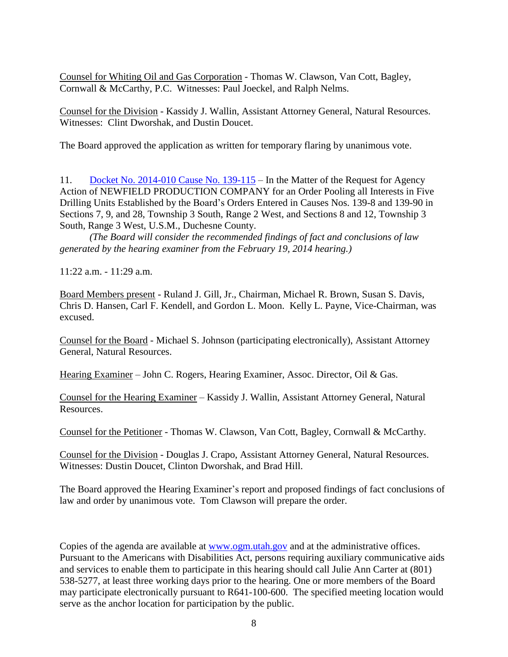Counsel for Whiting Oil and Gas Corporation - Thomas W. Clawson, Van Cott, Bagley, Cornwall & McCarthy, P.C. Witnesses: Paul Joeckel, and Ralph Nelms.

Counsel for the Division - Kassidy J. Wallin, Assistant Attorney General, Natural Resources. Witnesses: Clint Dworshak, and Dustin Doucet.

The Board approved the application as written for temporary flaring by unanimous vote.

11. Docket No. [2014-010](http://ogm.utah.gov/amr/boardtemp/redesign/2014/02_Feb/Dockets/2014-010_139-115_Newfield.html) Cause No. 139-115 – In the Matter of the Request for Agency Action of NEWFIELD PRODUCTION COMPANY for an Order Pooling all Interests in Five Drilling Units Established by the Board's Orders Entered in Causes Nos. 139-8 and 139-90 in Sections 7, 9, and 28, Township 3 South, Range 2 West, and Sections 8 and 12, Township 3 South, Range 3 West, U.S.M., Duchesne County.

*(The Board will consider the recommended findings of fact and conclusions of law generated by the hearing examiner from the February 19, 2014 hearing.)*

11:22 a.m. - 11:29 a.m.

Board Members present - Ruland J. Gill, Jr., Chairman, Michael R. Brown, Susan S. Davis, Chris D. Hansen, Carl F. Kendell, and Gordon L. Moon. Kelly L. Payne, Vice-Chairman, was excused.

Counsel for the Board - Michael S. Johnson (participating electronically), Assistant Attorney General, Natural Resources.

Hearing Examiner – John C. Rogers, Hearing Examiner, Assoc. Director, Oil & Gas.

Counsel for the Hearing Examiner – Kassidy J. Wallin, Assistant Attorney General, Natural Resources.

Counsel for the Petitioner - Thomas W. Clawson, Van Cott, Bagley, Cornwall & McCarthy.

Counsel for the Division - Douglas J. Crapo, Assistant Attorney General, Natural Resources. Witnesses: Dustin Doucet, Clinton Dworshak, and Brad Hill.

The Board approved the Hearing Examiner's report and proposed findings of fact conclusions of law and order by unanimous vote. Tom Clawson will prepare the order.

Copies of the agenda are available at [www.ogm.utah.gov](http://www.ogm.utah.gov/) and at the administrative offices. Pursuant to the Americans with Disabilities Act, persons requiring auxiliary communicative aids and services to enable them to participate in this hearing should call Julie Ann Carter at (801) 538-5277, at least three working days prior to the hearing. One or more members of the Board may participate electronically pursuant to R641-100-600. The specified meeting location would serve as the anchor location for participation by the public.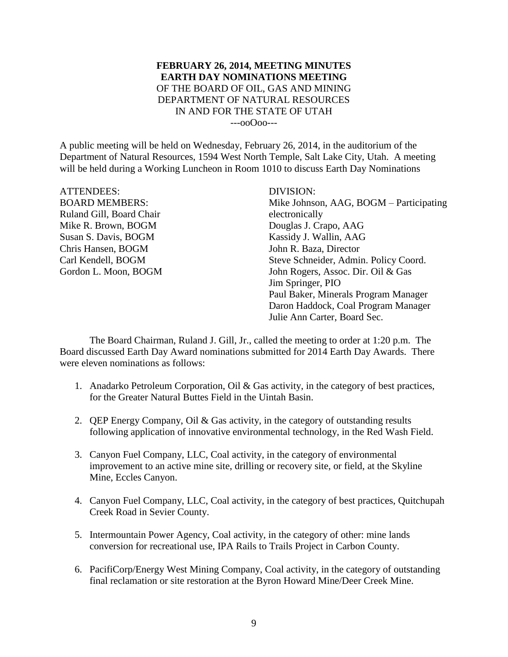## **FEBRUARY 26, 2014, MEETING MINUTES EARTH DAY NOMINATIONS MEETING** OF THE BOARD OF OIL, GAS AND MINING DEPARTMENT OF NATURAL RESOURCES IN AND FOR THE STATE OF UTAH ---ooOoo---

A public meeting will be held on Wednesday, February 26, 2014, in the auditorium of the Department of Natural Resources, 1594 West North Temple, Salt Lake City, Utah. A meeting will be held during a Working Luncheon in Room 1010 to discuss Earth Day Nominations

| <b>ATTENDEES:</b>        | DIVISION:                               |
|--------------------------|-----------------------------------------|
| <b>BOARD MEMBERS:</b>    | Mike Johnson, AAG, BOGM – Participating |
| Ruland Gill, Board Chair | electronically                          |
| Mike R. Brown, BOGM      | Douglas J. Crapo, AAG                   |
| Susan S. Davis, BOGM     | Kassidy J. Wallin, AAG                  |
| Chris Hansen, BOGM       | John R. Baza, Director                  |
| Carl Kendell, BOGM       | Steve Schneider, Admin. Policy Coord.   |
| Gordon L. Moon, BOGM     | John Rogers, Assoc. Dir. Oil & Gas      |
|                          | Jim Springer, PIO                       |
|                          | Paul Baker, Minerals Program Manager    |
|                          | Daron Haddock, Coal Program Manager     |
|                          | Julie Ann Carter, Board Sec.            |

The Board Chairman, Ruland J. Gill, Jr., called the meeting to order at 1:20 p.m. The Board discussed Earth Day Award nominations submitted for 2014 Earth Day Awards. There were eleven nominations as follows:

- 1. Anadarko Petroleum Corporation, Oil & Gas activity, in the category of best practices, for the Greater Natural Buttes Field in the Uintah Basin.
- 2. QEP Energy Company, Oil & Gas activity, in the category of outstanding results following application of innovative environmental technology, in the Red Wash Field.
- 3. Canyon Fuel Company, LLC, Coal activity, in the category of environmental improvement to an active mine site, drilling or recovery site, or field, at the Skyline Mine, Eccles Canyon.
- 4. Canyon Fuel Company, LLC, Coal activity, in the category of best practices, Quitchupah Creek Road in Sevier County.
- 5. Intermountain Power Agency, Coal activity, in the category of other: mine lands conversion for recreational use, IPA Rails to Trails Project in Carbon County.
- 6. PacifiCorp/Energy West Mining Company, Coal activity, in the category of outstanding final reclamation or site restoration at the Byron Howard Mine/Deer Creek Mine.